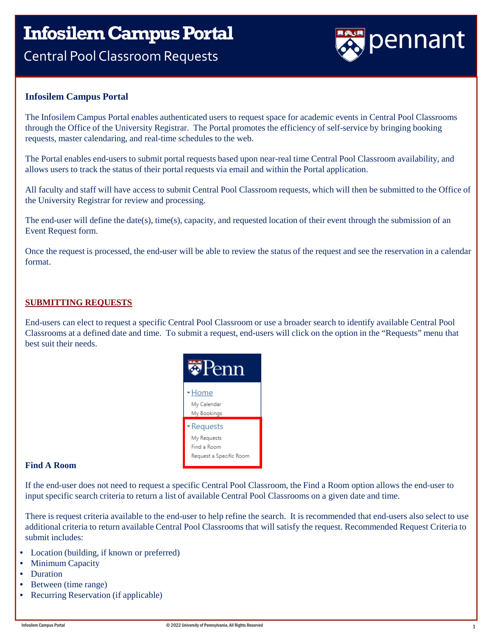### **InfosilemCampus Portal** Central Pool Classroom Requests



#### **Infosilem Campus Portal**

The Infosilem Campus Portal enables authenticated users to request space for academic events in Central Pool Classrooms through the Office of the University Registrar. The Portal promotes the efficiency of self-service by bringing booking requests, master calendaring, and real-time schedules to the web.

The Portal enables end-users to submit portal requests based upon near-real time Central Pool Classroom availability, and allows users to track the status of their portal requests via email and within the Portal application.

All faculty and staff will have access to submit Central Pool Classroom requests, which will then be submitted to the Office of the University Registrar for review and processing.

The end-user will define the date(s), time(s), capacity, and requested location of their event through the submission of an Event Request form.

Once the request is processed, the end-user will be able to review the status of the request and see the reservation in a calendar format.

#### **SUBMITTING REQUESTS**

End-users can elect to request a specific Central Pool Classroom or use a broader search to identify available Central Pool Classrooms at a defined date and time. To submit a request, end-users will click on the option in the "Requests" menu that best suit their needs.



#### **Find A Room**

If the end-user does not need to request a specific Central Pool Classroom, the Find a Room option allows the end-user to input specific search criteria to return a list of available Central Pool Classrooms on a given date and time.

There is request criteria available to the end-user to help refine the search. It is recommended that end-users also select to use additional criteria to return available Central Pool Classrooms that will satisfy the request. Recommended Request Criteria to submit includes:

- Location (building, if known or preferred)
- Minimum Capacity
- Duration
- Between (time range)
- Recurring Reservation (if applicable)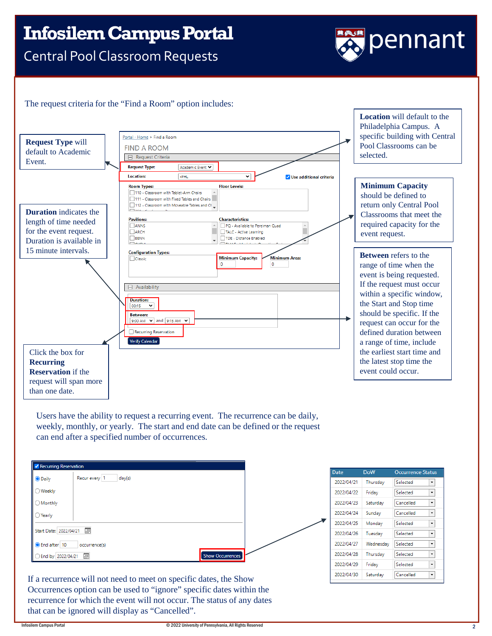### **InfosilemCampus Portal**

Central Pool Classroom Requests

# pennant

#### The request criteria for the "Find a Room" option includes:



Users have the ability to request a recurring event. The recurrence can be daily, weekly, monthly, or yearly. The start and end date can be defined or the request can end after a specified number of occurrences.

| <b>V</b> Recurring Reservation |                         |
|--------------------------------|-------------------------|
| <b>O</b> Daily                 | Recur every 1<br>day(s) |
| ○Weekly                        |                         |
| ◯ Monthly                      |                         |
| $\bigcirc$ Yearly              |                         |
| Start Date: 2022/04/21         | $\overline{\mathbb{H}}$ |
| <b>O</b> End after 10          | occurrence(s)           |
| ◯ End by 2022/04/21            | Ξ<br>Show Occurrences   |



If a recurrence will not need to meet on specific dates, the Show Occurrences option can be used to "ignore" specific dates within the recurrence for which the event will not occur. The status of any dates that can be ignored will display as "Cancelled".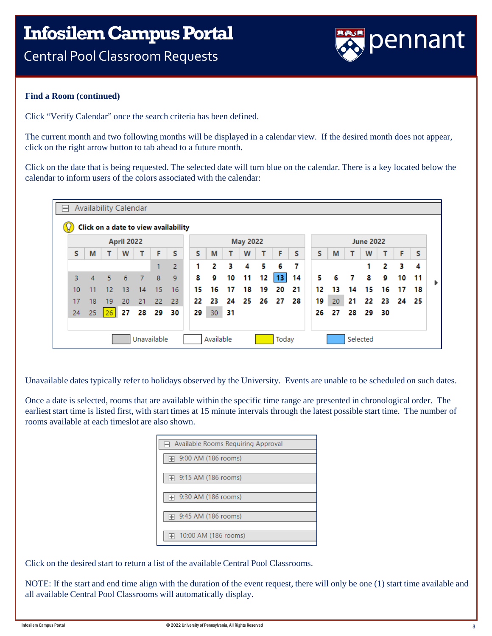

#### **Find a Room (continued)**

Click "Verify Calendar" once the search criteria has been defined.

The current month and two following months will be displayed in a calendar view. If the desired month does not appear, click on the right arrow button to tab ahead to a future month.

Click on the date that is being requested. The selected date will turn blue on the calendar. There is a key located below the calendar to inform users of the colors associated with the calendar:



Unavailable dates typically refer to holidays observed by the University. Events are unable to be scheduled on such dates.

Once a date is selected, rooms that are available within the specific time range are presented in chronological order. The earliest start time is listed first, with start times at 15 minute intervals through the latest possible start time. The number of rooms available at each timeslot are also shown.

| Available Rooms Requiring Approval |
|------------------------------------|
|                                    |
| 9:00 AM (186 rooms)                |
|                                    |
| 9:15 AM (186 rooms)                |
|                                    |
| 9:30 AM (186 rooms)                |
|                                    |
| 9:45 AM (186 rooms)<br>H           |
|                                    |
| 10:00 AM (186 rooms)               |
|                                    |

Click on the desired start to return a list of the available Central Pool Classrooms.

NOTE: If the start and end time align with the duration of the event request, there will only be one (1) start time available and all available Central Pool Classrooms will automatically display.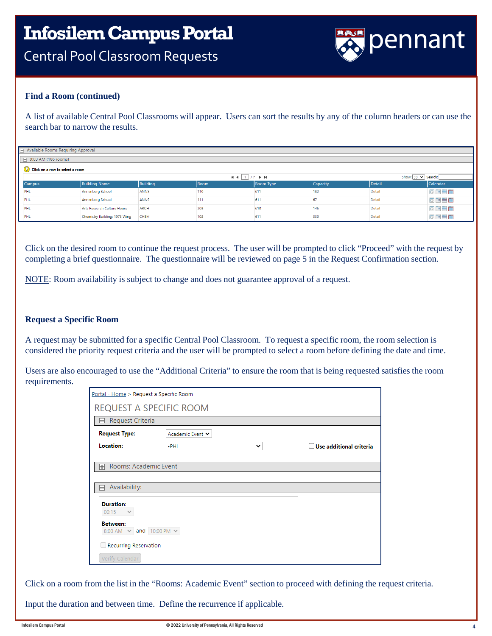

#### **Find a Room (continued)**

A list of available Central Pool Classrooms will appear. Users can sort the results by any of the column headers or can use the search bar to narrow the results.

| $\Box$ Available Rooms Requiring Approval |  |                               |                 |      |           |          |        |                                           |  |  |  |
|-------------------------------------------|--|-------------------------------|-----------------|------|-----------|----------|--------|-------------------------------------------|--|--|--|
| $\Box$ 9:00 AM (186 rooms)                |  |                               |                 |      |           |          |        |                                           |  |  |  |
| (V) Click on a row to select a room       |  |                               |                 |      |           |          |        |                                           |  |  |  |
|                                           |  | Show: 30 v Search:            |                 |      |           |          |        |                                           |  |  |  |
| <b>Campus</b>                             |  | <b>Building Name</b>          | <b>Building</b> | Room | Room Type | Capacity | Detail | Calendar                                  |  |  |  |
| PHL                                       |  | Annenberg School              | <b>ANNS</b>     | 110  | 611       | 182      | Detail | $\circ$ m $\equiv$ m                      |  |  |  |
| PHL                                       |  | Annenberg School              | <b>ANNS</b>     | 111  | 611       | 67       | Detail | $\circ$ if $\bullet$ if                   |  |  |  |
| PHL                                       |  | Arts Research Culture House   | <b>ARCH</b>     | 208  | 610       | 146      | Detail | $\overline{0}$ if $\equiv$ $\overline{1}$ |  |  |  |
| PHL                                       |  | Chemistry Building: 1973 Wing | <b>CHEM</b>     | 102  | 611       | 330      | Detail | $\circ$ if $\bullet$ in                   |  |  |  |

Click on the desired room to continue the request process. The user will be prompted to click "Proceed" with the request by completing a brief questionnaire. The questionnaire will be reviewed on page 5 in the Request Confirmation section.

NOTE: Room availability is subject to change and does not guarantee approval of a request.

#### **Request a Specific Room**

A request may be submitted for a specific Central Pool Classroom. To request a specific room, the room selection is considered the priority request criteria and the user will be prompted to select a room before defining the date and time.

Users are also encouraged to use the "Additional Criteria" to ensure the room that is being requested satisfies the room requirements.

| Portal - Home > Request a Specific Room               |                                                  |                                |  |  |  |  |  |  |  |  |
|-------------------------------------------------------|--------------------------------------------------|--------------------------------|--|--|--|--|--|--|--|--|
| REQUEST A SPECIFIC ROOM                               |                                                  |                                |  |  |  |  |  |  |  |  |
| Request Criteria<br>$\blacksquare$                    |                                                  |                                |  |  |  |  |  |  |  |  |
| <b>Request Type:</b>                                  | Academic Event ↓                                 |                                |  |  |  |  |  |  |  |  |
| Location:                                             | $-PHL$<br>$\check{ }$                            | $\Box$ Use additional criteria |  |  |  |  |  |  |  |  |
| Availability:<br>$\overline{}$                        |                                                  |                                |  |  |  |  |  |  |  |  |
|                                                       | Rooms: Academic Event<br>$\overline{\mathbb{H}}$ |                                |  |  |  |  |  |  |  |  |
| <b>Duration:</b>                                      |                                                  |                                |  |  |  |  |  |  |  |  |
| $00:15$ $\vee$                                        |                                                  |                                |  |  |  |  |  |  |  |  |
| <b>Between:</b><br>8:00 AM $\sim$ and 10:00 PM $\sim$ |                                                  |                                |  |  |  |  |  |  |  |  |
|                                                       | Recurring Reservation                            |                                |  |  |  |  |  |  |  |  |
| Verify Calendar                                       |                                                  |                                |  |  |  |  |  |  |  |  |

Click on a room from the list in the "Rooms: Academic Event" section to proceed with defining the request criteria.

Input the duration and between time. Define the recurrence if applicable.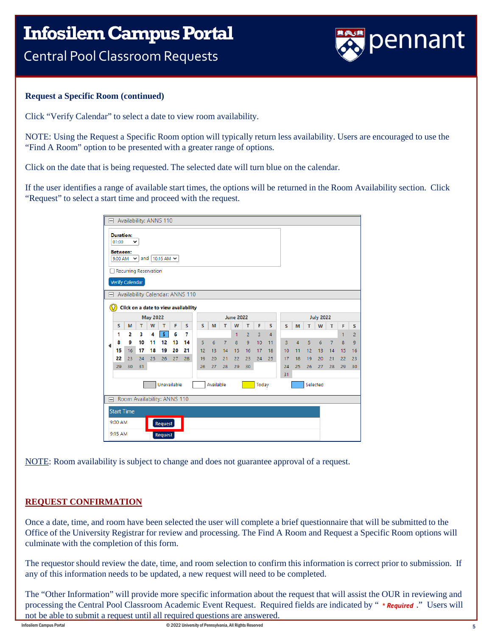

#### **Request a Specific Room (continued)**

Click "Verify Calendar" to select a date to view room availability.

NOTE: Using the Request a Specific Room option will typically return less availability. Users are encouraged to use the "Find A Room" option to be presented with a greater range of options.

Click on the date that is being requested. The selected date will turn blue on the calendar.

If the user identifies a range of available start times, the options will be returned in the Room Availability section. Click "Request" to select a start time and proceed with the request.

| Availability: ANNS 110<br>ᆨ                              |                           |    |                                      |                 |             |    |    |    |                  |                |              |                |       |                |                  |                |                  |    |                |    |                |  |
|----------------------------------------------------------|---------------------------|----|--------------------------------------|-----------------|-------------|----|----|----|------------------|----------------|--------------|----------------|-------|----------------|------------------|----------------|------------------|----|----------------|----|----------------|--|
|                                                          | <b>Duration:</b><br>01:00 |    |                                      |                 |             |    |    |    |                  |                |              |                |       |                |                  |                |                  |    |                |    |                |  |
| <b>Between:</b><br>and 10:15 AM $\sim$<br>9:00 AM $\sim$ |                           |    |                                      |                 |             |    |    |    |                  |                |              |                |       |                |                  |                |                  |    |                |    |                |  |
| <b>Recurring Reservation</b>                             |                           |    |                                      |                 |             |    |    |    |                  |                |              |                |       |                |                  |                |                  |    |                |    |                |  |
| Verify Calendar                                          |                           |    |                                      |                 |             |    |    |    |                  |                |              |                |       |                |                  |                |                  |    |                |    |                |  |
| ⊟                                                        |                           |    | Availability Calendar: ANNS 110      |                 |             |    |    |    |                  |                |              |                |       |                |                  |                |                  |    |                |    |                |  |
|                                                          | $\Omega$                  |    | Click on a date to view availability |                 |             |    |    |    |                  |                |              |                |       |                |                  |                |                  |    |                |    |                |  |
|                                                          |                           |    |                                      | <b>May 2022</b> |             |    |    |    | <b>June 2022</b> |                |              |                |       |                |                  |                | <b>July 2022</b> |    |                |    |                |  |
|                                                          | s                         | M  | т                                    | W               | т           | F  | s  | s  | M                | т              | W            | т              | F     | s              | s                | M              | т                | W  | т              | F  | s              |  |
|                                                          | 1                         | 2  | 3                                    | 4               | 5           | 6  | 7  |    |                  |                | $\mathbf{1}$ | $\overline{a}$ | 3     | $\overline{4}$ |                  |                |                  |    |                | 1  | $\overline{2}$ |  |
| ◀                                                        | 8                         | 9  | 10                                   | 11              | 12          | 13 | 14 | 5  | 6                | $\overline{7}$ | 8            | 9              | 10    | 11             | 3                | $\overline{4}$ | 5                | 6  | $\overline{7}$ | 8  | $\overline{9}$ |  |
|                                                          | 15                        | 16 | 17                                   | 18              | 19          | 20 | 21 | 12 | 13               | 14             | 15           | 16             | 17    | 18             | 10 <sup>10</sup> | 11             | 12               | 13 | 14             | 15 | 16             |  |
|                                                          | 22                        | 23 | 24                                   | 25              | 26          | 27 | 28 | 19 | 20               | 21             | 22           | 23             | 24    | 25             | 17               | 18             | 19               | 20 | 21             | 22 | 23             |  |
|                                                          | 29                        | 30 | 31                                   |                 |             |    |    | 26 | 27               | 28             | 29           | 30             |       |                | 24               | 25             | 26               | 27 | 28             | 29 | 30             |  |
|                                                          |                           |    |                                      |                 |             |    |    |    |                  |                |              |                |       |                | 31               |                |                  |    |                |    |                |  |
|                                                          |                           |    |                                      |                 | Unavailable |    |    |    | Available        |                |              |                | Today |                |                  |                | Selected         |    |                |    |                |  |
| ⊟                                                        |                           |    | Room Availability: ANNS 110          |                 |             |    |    |    |                  |                |              |                |       |                |                  |                |                  |    |                |    |                |  |
|                                                          |                           |    |                                      |                 |             |    |    |    |                  |                |              |                |       |                |                  |                |                  |    |                |    |                |  |
|                                                          | <b>Start Time</b>         |    |                                      |                 |             |    |    |    |                  |                |              |                |       |                |                  |                |                  |    |                |    |                |  |
|                                                          | 9:00 AM                   |    |                                      |                 | Request     |    |    |    |                  |                |              |                |       |                |                  |                |                  |    |                |    |                |  |
|                                                          | 9:15 AM                   |    |                                      |                 | Request     |    |    |    |                  |                |              |                |       |                |                  |                |                  |    |                |    |                |  |

NOTE: Room availability is subject to change and does not guarantee approval of a request.

#### **REQUEST CONFIRMATION**

Once a date, time, and room have been selected the user will complete a brief questionnaire that will be submitted to the Office of the University Registrar for review and processing. The Find A Room and Request a Specific Room options will culminate with the completion of this form.

The requestor should review the date, time, and room selection to confirm this information is correct prior to submission. If any of this information needs to be updated, a new request will need to be completed.

The "Other Information" will provide more specific information about the request that will assist the OUR in reviewing and processing the Central Pool Classroom Academic Event Request. Required fields are indicated by "\***Required** ." Users will not be able to submit a request until all required questions are answered.

Infosilem Campus Portal **Examples Portal Campus Campus Campus** © 2022 University of Pennsylvania, All Rights Reserved